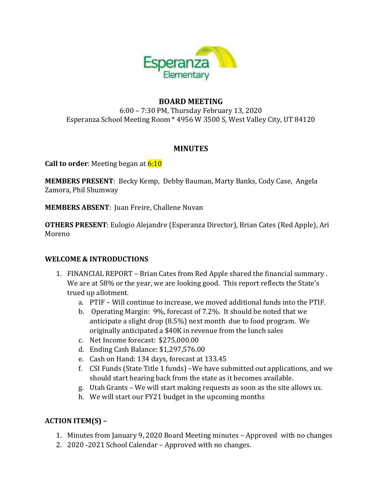

### **BOARD MEETING**

6:00 – 7:30 PM, Thursday February 13, 2020 Esperanza School Meeting Room \* 4956 W 3500 S, West Valley City, UT 84120

#### **MINUTES**

**Call to order:** Meeting began at **6:10** 

**MEMBERS PRESENT**: Becky Kemp, Debby Bauman, Marty Banks, Cody Case, Angela Zamora, Phil Shumway

**MEMBERS ABSENT**: Juan Freire, Challene Nuvan

**OTHERS PRESENT**: Eulogio Alejandre (Esperanza Director), Brian Cates (Red Apple), Ari Moreno

### **WELCOME & INTRODUCTIONS**

- 1. FINANCIAL REPORT Brian Cates from Red Apple shared the financial summary . We are at 58% or the year, we are looking good. This report reflects the State's trued up allotment.
	- a. PTIF Will continue to increase, we moved additional funds into the PTIF.
	- b. Operating Margin: 9%, forecast of 7.2%. It should be noted that we anticipate a slight drop (8.5%) next month due to food program. We originally anticipated a \$40K in revenue from the lunch sales
	- c. Net Income forecast: \$275,000.00
	- d. Ending Cash Balance: \$1,297,576.00
	- e. Cash on Hand: 134 days, forecast at 133.45
	- f. CSI Funds (State Title 1 funds) –We have submitted out applications, and we should start hearing back from the state as it becomes available.
	- g. Utah Grants We will start making requests as soon as the site allows us.
	- h. We will start our FY21 budget in the upcoming months

### **ACTION ITEM(S) –**

- 1. Minutes from January 9, 2020 Board Meeting minutes Approved with no changes
- 2. 2020 -2021 School Calendar Approved with no changes.